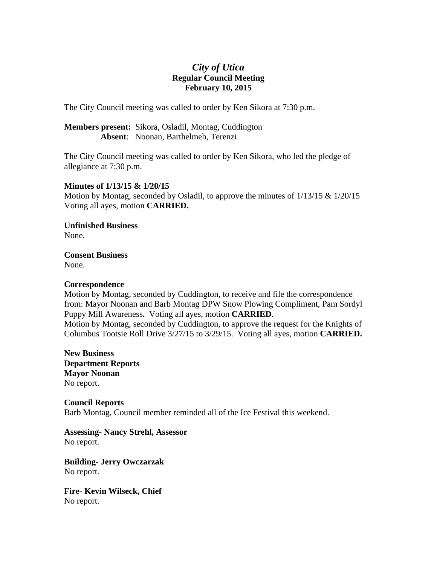## *City of Utica*  **Regular Council Meeting February 10, 2015**

The City Council meeting was called to order by Ken Sikora at 7:30 p.m.

**Members present:** Sikora, Osladil, Montag, Cuddington **Absent**: Noonan, Barthelmeh, Terenzi

The City Council meeting was called to order by Ken Sikora, who led the pledge of allegiance at 7:30 p.m.

## **Minutes of 1/13/15 & 1/20/15**

Motion by Montag, seconded by Osladil, to approve the minutes of  $1/13/15 \& 1/20/15$ Voting all ayes, motion **CARRIED.** 

**Unfinished Business**  None.

**Consent Business**  None.

## **Correspondence**

Motion by Montag, seconded by Cuddington, to receive and file the correspondence from: Mayor Noonan and Barb Montag DPW Snow Plowing Compliment, Pam Sordyl Puppy Mill Awareness**.** Voting all ayes, motion **CARRIED**. Motion by Montag, seconded by Cuddington, to approve the request for the Knights of Columbus Tootsie Roll Drive 3/27/15 to 3/29/15. Voting all ayes, motion **CARRIED.** 

**New Business Department Reports Mayor Noonan**  No report.

**Council Reports**  Barb Montag, Council member reminded all of the Ice Festival this weekend.

**Assessing- Nancy Strehl, Assessor**  No report.

**Building- Jerry Owczarzak**  No report.

**Fire- Kevin Wilseck, Chief**  No report.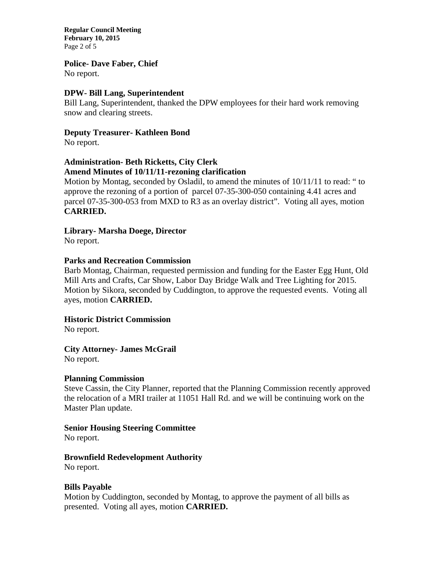**Regular Council Meeting February 10, 2015**  Page 2 of 5

#### **Police- Dave Faber, Chief**

No report.

## **DPW- Bill Lang, Superintendent**

Bill Lang, Superintendent, thanked the DPW employees for their hard work removing snow and clearing streets.

#### **Deputy Treasurer- Kathleen Bond**

No report.

#### **Administration- Beth Ricketts, City Clerk Amend Minutes of 10/11/11-rezoning clarification**

Motion by Montag, seconded by Osladil, to amend the minutes of 10/11/11 to read: " to approve the rezoning of a portion of parcel 07-35-300-050 containing 4.41 acres and parcel 07-35-300-053 from MXD to R3 as an overlay district". Voting all ayes, motion **CARRIED.** 

#### **Library- Marsha Doege, Director**

No report.

#### **Parks and Recreation Commission**

Barb Montag, Chairman, requested permission and funding for the Easter Egg Hunt, Old Mill Arts and Crafts, Car Show, Labor Day Bridge Walk and Tree Lighting for 2015. Motion by Sikora, seconded by Cuddington, to approve the requested events. Voting all ayes, motion **CARRIED.** 

## **Historic District Commission**

No report.

## **City Attorney- James McGrail**

No report.

## **Planning Commission**

Steve Cassin, the City Planner, reported that the Planning Commission recently approved the relocation of a MRI trailer at 11051 Hall Rd. and we will be continuing work on the Master Plan update.

## **Senior Housing Steering Committee**

No report.

## **Brownfield Redevelopment Authority**

No report.

## **Bills Payable**

Motion by Cuddington, seconded by Montag, to approve the payment of all bills as presented. Voting all ayes, motion **CARRIED.**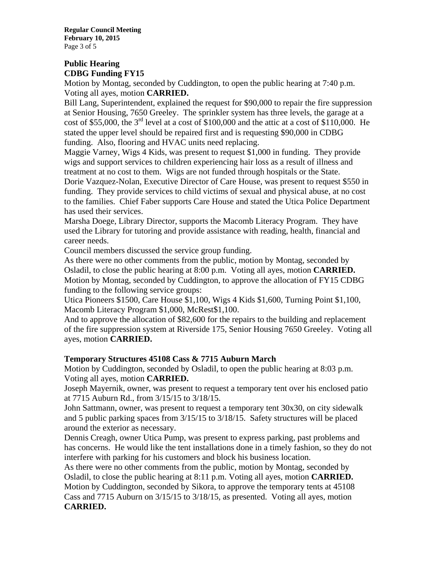**Regular Council Meeting February 10, 2015**  Page 3 of 5

# **Public Hearing CDBG Funding FY15**

Motion by Montag, seconded by Cuddington, to open the public hearing at 7:40 p.m. Voting all ayes, motion **CARRIED.** 

Bill Lang, Superintendent, explained the request for \$90,000 to repair the fire suppression at Senior Housing, 7650 Greeley. The sprinkler system has three levels, the garage at a cost of \$55,000, the  $3<sup>rd</sup>$  level at a cost of \$100,000 and the attic at a cost of \$110,000. He stated the upper level should be repaired first and is requesting \$90,000 in CDBG funding. Also, flooring and HVAC units need replacing.

Maggie Varney, Wigs 4 Kids, was present to request \$1,000 in funding. They provide wigs and support services to children experiencing hair loss as a result of illness and treatment at no cost to them. Wigs are not funded through hospitals or the State.

Dorie Vazquez-Nolan, Executive Director of Care House, was present to request \$550 in funding. They provide services to child victims of sexual and physical abuse, at no cost to the families. Chief Faber supports Care House and stated the Utica Police Department has used their services.

Marsha Doege, Library Director, supports the Macomb Literacy Program. They have used the Library for tutoring and provide assistance with reading, health, financial and career needs.

Council members discussed the service group funding.

As there were no other comments from the public, motion by Montag, seconded by Osladil, to close the public hearing at 8:00 p.m. Voting all ayes, motion **CARRIED.**  Motion by Montag, seconded by Cuddington, to approve the allocation of FY15 CDBG funding to the following service groups:

Utica Pioneers \$1500, Care House \$1,100, Wigs 4 Kids \$1,600, Turning Point \$1,100, Macomb Literacy Program \$1,000, McRest\$1,100.

And to approve the allocation of \$82,600 for the repairs to the building and replacement of the fire suppression system at Riverside 175, Senior Housing 7650 Greeley. Voting all ayes, motion **CARRIED.** 

## **Temporary Structures 45108 Cass & 7715 Auburn March**

Motion by Cuddington, seconded by Osladil, to open the public hearing at 8:03 p.m. Voting all ayes, motion **CARRIED.** 

Joseph Mayernik, owner, was present to request a temporary tent over his enclosed patio at 7715 Auburn Rd., from 3/15/15 to 3/18/15.

John Sattmann, owner, was present to request a temporary tent 30x30, on city sidewalk and 5 public parking spaces from 3/15/15 to 3/18/15. Safety structures will be placed around the exterior as necessary.

Dennis Creagh, owner Utica Pump, was present to express parking, past problems and has concerns. He would like the tent installations done in a timely fashion, so they do not interfere with parking for his customers and block his business location.

As there were no other comments from the public, motion by Montag, seconded by Osladil, to close the public hearing at 8:11 p.m. Voting all ayes, motion **CARRIED.**  Motion by Cuddington, seconded by Sikora, to approve the temporary tents at 45108 Cass and 7715 Auburn on 3/15/15 to 3/18/15, as presented. Voting all ayes, motion **CARRIED.**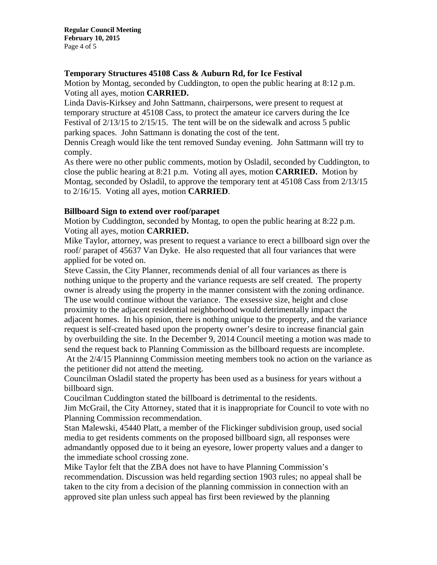## **Temporary Structures 45108 Cass & Auburn Rd, for Ice Festival**

Motion by Montag, seconded by Cuddington, to open the public hearing at 8:12 p.m. Voting all ayes, motion **CARRIED.** 

Linda Davis-Kirksey and John Sattmann, chairpersons, were present to request at temporary structure at 45108 Cass, to protect the amateur ice carvers during the Ice Festival of 2/13/15 to 2/15/15. The tent will be on the sidewalk and across 5 public parking spaces. John Sattmann is donating the cost of the tent.

Dennis Creagh would like the tent removed Sunday evening. John Sattmann will try to comply.

As there were no other public comments, motion by Osladil, seconded by Cuddington, to close the public hearing at 8:21 p.m. Voting all ayes, motion **CARRIED.** Motion by Montag, seconded by Osladil, to approve the temporary tent at 45108 Cass from 2/13/15 to 2/16/15. Voting all ayes, motion **CARRIED**.

## **Billboard Sign to extend over roof/parapet**

Motion by Cuddington, seconded by Montag, to open the public hearing at 8:22 p.m. Voting all ayes, motion **CARRIED.** 

Mike Taylor, attorney, was present to request a variance to erect a billboard sign over the roof/ parapet of 45637 Van Dyke. He also requested that all four variances that were applied for be voted on.

Steve Cassin, the City Planner, recommends denial of all four variances as there is nothing unique to the property and the variance requests are self created. The property owner is already using the property in the manner consistent with the zoning ordinance. The use would continue without the variance. The exsessive size, height and close proximity to the adjacent residential neighborhood would detrimentally impact the adjacent homes. In his opinion, there is nothing unique to the property, and the variance request is self-created based upon the property owner's desire to increase financial gain by overbuilding the site. In the December 9, 2014 Council meeting a motion was made to send the request back to Planning Commission as the billboard requests are incomplete. At the 2/4/15 Planninng Commission meeting members took no action on the variance as the petitioner did not attend the meeting.

Councilman Osladil stated the property has been used as a business for years without a billboard sign.

Coucilman Cuddington stated the billboard is detrimental to the residents.

Jim McGrail, the City Attorney, stated that it is inappropriate for Council to vote with no Planning Commission recommendation.

Stan Malewski, 45440 Platt, a member of the Flickinger subdivision group, used social media to get residents comments on the proposed billboard sign, all responses were admandantly opposed due to it being an eyesore, lower property values and a danger to the immediate school crossing zone.

Mike Taylor felt that the ZBA does not have to have Planning Commission's recommendation. Discussion was held regarding section 1903 rules; no appeal shall be taken to the city from a decision of the planning commission in connection with an approved site plan unless such appeal has first been reviewed by the planning